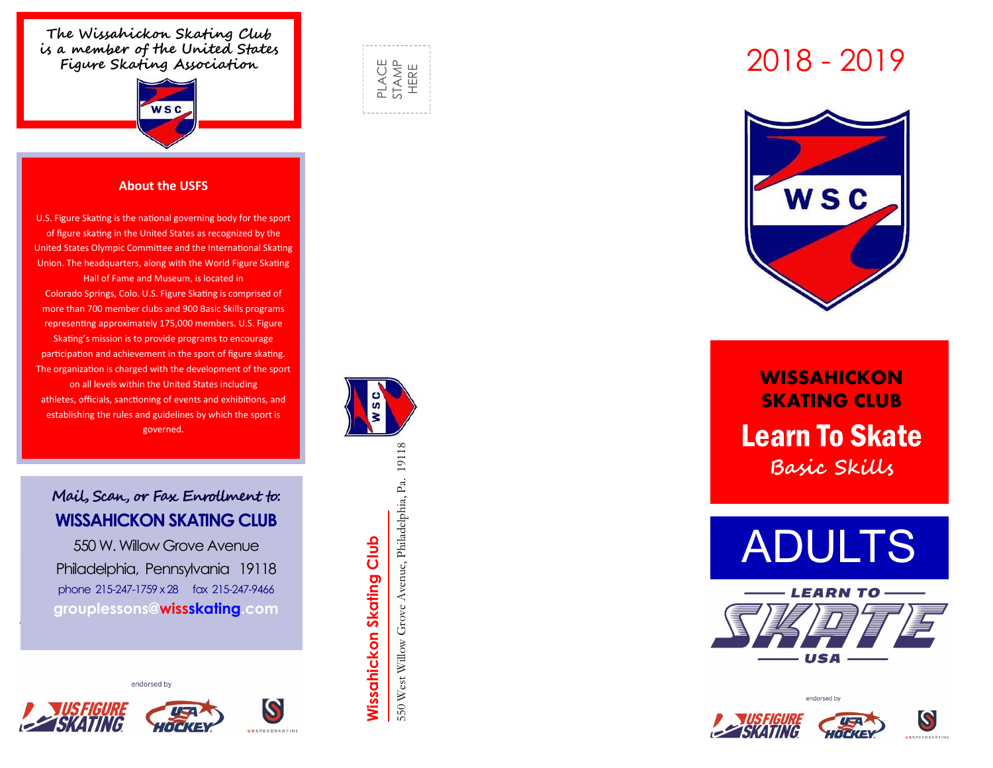**The Wissahickon Skating Club is a member of the United States Figure Skating Association**



#### **About the USFS**

U.S. Figure Skating is the national governing body for the sport of figure skating in the United States as recognized by the United States Olympic Committee and the International Skating Union. The headquarters, along with the World Figure Skating Hall of Fame and Museum, is located in Colorado Springs, Colo. U.S. Figure Skating is comprised of more than 700 member clubs and 900 Basic Skills programs representing approximately 175,000 members. U.S. Figure Skating's mission is to provide programs to encourage participation and achievement in the sport of figure skating. The organization is charged with the development of the sport on all levels within the United States including athletes, officials, sanctioning of events and exhibitions, and establishing the rules and guidelines by which the sport is governed.

### **Mail, Scan, or Fax Enrollment to: WISSAHICKON SKATING CLUB**

550 W. Willow Grove Avenue Philadelphia, Pennsylvania 19118 phone 215 -247-1759 x 28 fax 215 -247-9466 **grouplessons@wissskating.com**

endorsed by











**WISSAHICKON SKATING CLUB**  Learn To Skate **Basic Skills**









550 West Willow Grove Avenue, Philadelphia, Pa. 19118 **Wissahickon Skating Club Wissahickon Skating Club**